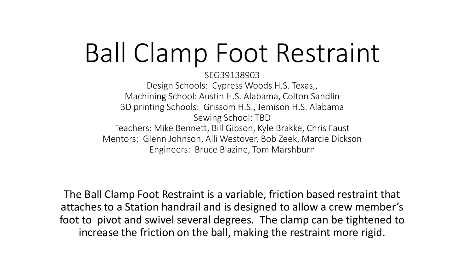# Ball Clamp Foot Restraint

SEG39138903 Design Schools: Cypress Woods H.S. Texas,, Machining School: Austin H.S. Alabama, Colton Sandlin 3D printing Schools: Grissom H.S., Jemison H.S. Alabama Sewing School: TBD Teachers: Mike Bennett, Bill Gibson, Kyle Brakke, Chris Faust Mentors: Glenn Johnson, Alli Westover, Bob Zeek, Marcie Dickson Engineers: Bruce Blazine, Tom Marshburn

The Ball Clamp Foot Restraint is a variable, friction based restraint that attaches to a Station handrail and is designed to allow a crew member's foot to pivot and swivel several degrees. The clamp can be tightened to increase the friction on the ball, making the restraint more rigid.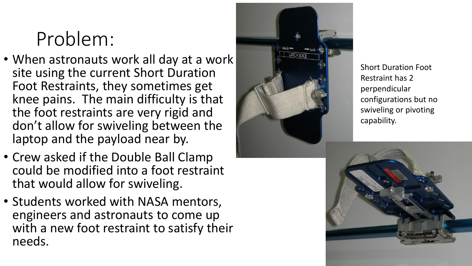## Problem:

- When astronauts work all day at a work site using the current Short Duration Foot Restraints, they sometimes get knee pains. The main difficulty is that the foot restraints are very rigid and don't allow for swiveling between the laptop and the payload near by.
- Crew asked if the Double Ball Clamp could be modified into a foot restraint that would allow for swiveling.
- Students worked with NASA mentors, engineers and astronauts to come up with a new foot restraint to satisfy their needs.



Short Duration Foot Restraint has 2 perpendicular configurations but no swiveling or pivoting capability.

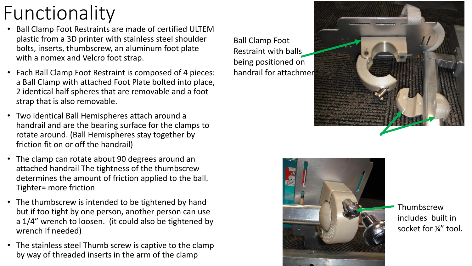### Functionality

- Ball Clamp Foot Restraints are made of certified ULTEM plastic from a 3D printer with stainless steel shoulder bolts, inserts, thumbscrew, an aluminum foot plate with a nomex and Velcro foot strap.
- Each Ball Clamp Foot Restraint is composed of 4 pieces: a Ball Clamp with attached Foot Plate bolted into place, 2 identical half spheres that are removable and a foot strap that is also removable.
- Two identical Ball Hemispheres attach around a handrail and are the bearing surface for the clamps to rotate around. (Ball Hemispheres stay together by friction fit on or off the handrail)
- The clamp can rotate about 90 degrees around an attached handrail The tightness of the thumbscrew determines the amount of friction applied to the ball. Tighter= more friction
- The thumbscrew is intended to be tightened by hand but if too tight by one person, another person can use a 1/4" wrench to loosen. (it could also be tightened by wrench if needed)
- The stainless steel Thumb screw is captive to the clamp by way of threaded inserts in the arm of the clamp

Ball Clamp Foot Restraint with balls being positioned on handrail for attachmen





Thumbscrew includes built in socket for ¼" tool.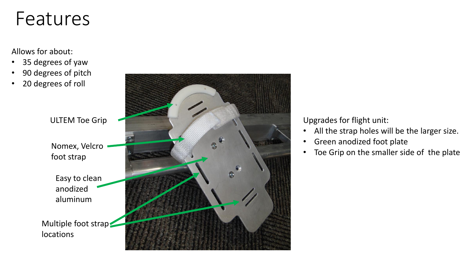#### Features

#### Allows for about:

- 35 degrees of yaw
- 90 degrees of pitch
- 20 degrees of roll

ULTEM Toe Grip

Nomex, Velcro foot strap

Easy to clean anodized aluminum

Multiple foot strap; locations



Upgrades for flight unit:

- All the strap holes will be the larger size.
- Green anodized foot plate
- Toe Grip on the smaller side of the plate